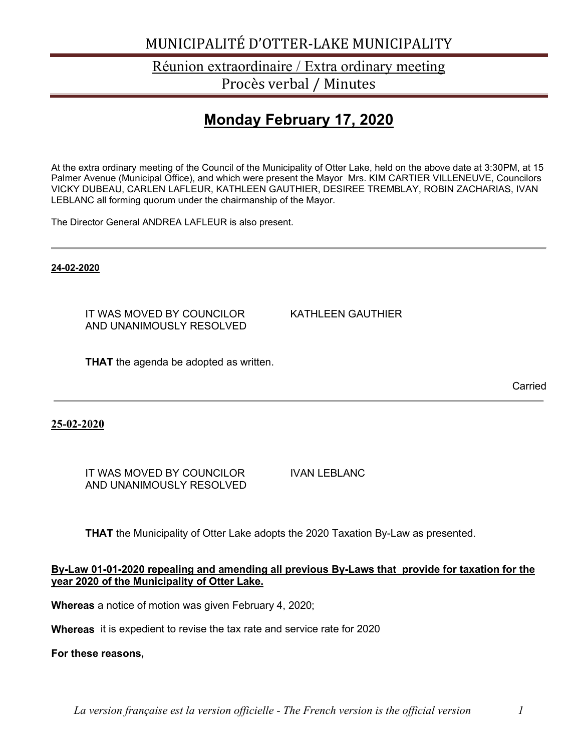### Réunion extraordinaire / Extra ordinary meeting Procès verbal / Minutes

## **Monday February 17, 2020**

At the extra ordinary meeting of the Council of the Municipality of Otter Lake, held on the above date at 3:30PM, at 15 Palmer Avenue (Municipal Office), and which were present the Mayor Mrs. KIM CARTIER VILLENEUVE, Councilors VICKY DUBEAU, CARLEN LAFLEUR, KATHLEEN GAUTHIER, DESIREE TREMBLAY, ROBIN ZACHARIAS, IVAN LEBLANC all forming quorum under the chairmanship of the Mayor.

The Director General ANDREA LAFLEUR is also present.

**24-02-2020**

IT WAS MOVED BY COUNCILOR KATHLEEN GAUTHIER AND UNANIMOUSLY RESOLVED

**THAT** the agenda be adopted as written.

Carried

**25-02-2020**

IT WAS MOVED BY COUNCILOR IVAN LEBLANC AND UNANIMOUSLY RESOLVED

**THAT** the Municipality of Otter Lake adopts the 2020 Taxation By-Law as presented.

#### **By-Law 01-01-2020 repealing and amending all previous By-Laws that provide for taxation for the year 2020 of the Municipality of Otter Lake.**

**Whereas** a notice of motion was given February 4, 2020;

**Whereas** it is expedient to revise the tax rate and service rate for 2020

**For these reasons,**

*La version française est la version officielle - The French version is the official version 1*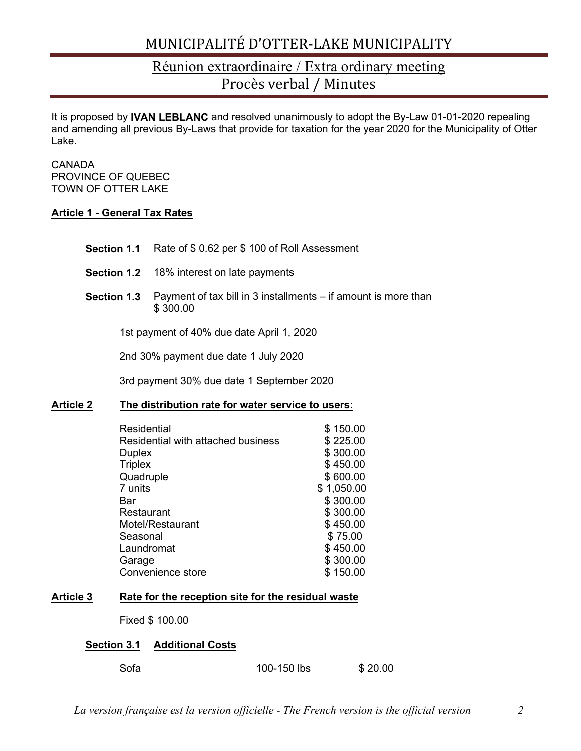### Réunion extraordinaire / Extra ordinary meeting Procès verbal / Minutes

It is proposed by **IVAN LEBLANC** and resolved unanimously to adopt the By-Law 01-01-2020 repealing and amending all previous By-Laws that provide for taxation for the year 2020 for the Municipality of Otter Lake.

#### CANADA PROVINCE OF QUEBEC TOWN OF OTTER LAKE

### **Article 1 - General Tax Rates**

- **Section 1.1** Rate of \$ 0.62 per \$ 100 of Roll Assessment
- **Section 1.2** 18% interest on late payments
- **Section 1.3** Payment of tax bill in 3 installments if amount is more than \$ 300.00

1st payment of 40% due date April 1, 2020

2nd 30% payment due date 1 July 2020

3rd payment 30% due date 1 September 2020

#### **Article 2 The distribution rate for water service to users:**

| Residential                        | \$150.00   |
|------------------------------------|------------|
| Residential with attached business | \$225.00   |
| <b>Duplex</b>                      | \$300.00   |
| <b>Triplex</b>                     | \$450.00   |
| Quadruple                          | \$600.00   |
| 7 units                            | \$1,050.00 |
| Bar                                | \$300.00   |
| Restaurant                         | \$300.00   |
| Motel/Restaurant                   | \$450.00   |
| Seasonal                           | \$75.00    |
| Laundromat                         | \$450.00   |
| Garage                             | \$300.00   |
| Convenience store                  | \$150.00   |

#### **Article 3 Rate for the reception site for the residual waste**

Fixed \$ 100.00

#### **Section 3.1 Additional Costs**

| \$20.00<br>100-150 lbs |
|------------------------|
|                        |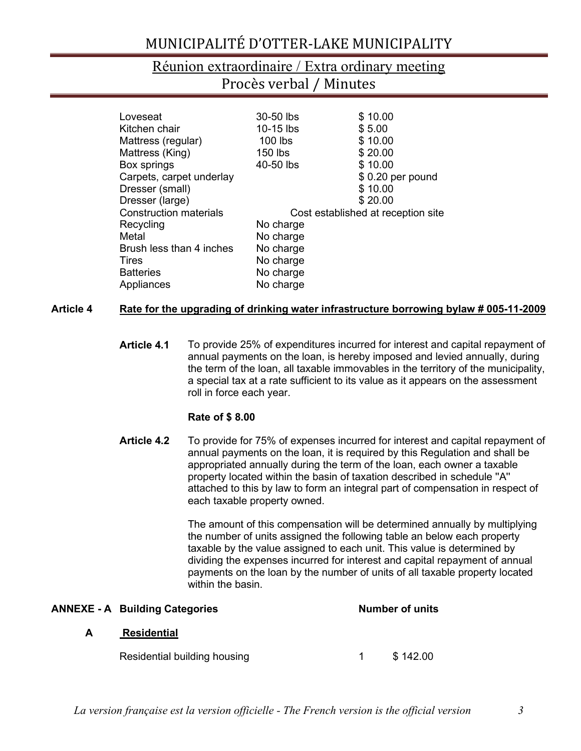### Réunion extraordinaire / Extra ordinary meeting Procès verbal / Minutes

| Loveseat                      | 30-50 lbs | \$10.00                            |
|-------------------------------|-----------|------------------------------------|
| Kitchen chair                 | 10-15 lbs | \$5.00                             |
| Mattress (regular)            | $100$ lbs | \$10.00                            |
| Mattress (King)               | 150 lbs   | \$20.00                            |
| Box springs                   | 40-50 lbs | \$10.00                            |
| Carpets, carpet underlay      |           | $$0.20$ per pound                  |
| Dresser (small)               |           | \$10.00                            |
| Dresser (large)               |           | \$20.00                            |
| <b>Construction materials</b> |           | Cost established at reception site |
| Recycling                     | No charge |                                    |
| Metal                         | No charge |                                    |
| Brush less than 4 inches      | No charge |                                    |
| Tires                         | No charge |                                    |
| <b>Batteries</b>              | No charge |                                    |
| Appliances                    | No charge |                                    |

### **Article 4 Rate for the upgrading of drinking water infrastructure borrowing bylaw # 005-11-2009**

**Article 4.1** To provide 25% of expenditures incurred for interest and capital repayment of annual payments on the loan, is hereby imposed and levied annually, during the term of the loan, all taxable immovables in the territory of the municipality, a special tax at a rate sufficient to its value as it appears on the assessment roll in force each year.

### **Rate of \$ 8.00**

**Article 4.2** To provide for 75% of expenses incurred for interest and capital repayment of annual payments on the loan, it is required by this Regulation and shall be appropriated annually during the term of the loan, each owner a taxable property located within the basin of taxation described in schedule ''A'' attached to this by law to form an integral part of compensation in respect of each taxable property owned.

> The amount of this compensation will be determined annually by multiplying the number of units assigned the following table an below each property taxable by the value assigned to each unit. This value is determined by dividing the expenses incurred for interest and capital repayment of annual payments on the loan by the number of units of all taxable property located within the basin.

|   | <b>ANNEXE - A Building Categories</b> |  | <b>Number of units</b> |  |  |
|---|---------------------------------------|--|------------------------|--|--|
| A | <b>Residential</b>                    |  |                        |  |  |
|   | Residential building housing          |  | \$142.00               |  |  |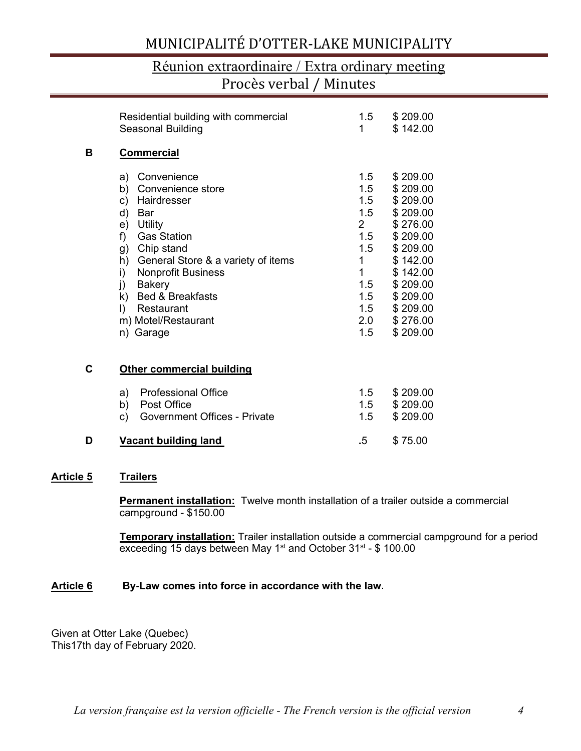### Réunion extraordinaire / Extra ordinary meeting Procès verbal / Minutes

|   | Residential building with commercial<br>Seasonal Building                                                                                                                                                                                                                                                        | 1.5<br>1                                                                                                              | \$209.00<br>\$142.00                                                                                                                                                 |
|---|------------------------------------------------------------------------------------------------------------------------------------------------------------------------------------------------------------------------------------------------------------------------------------------------------------------|-----------------------------------------------------------------------------------------------------------------------|----------------------------------------------------------------------------------------------------------------------------------------------------------------------|
| в | <b>Commercial</b>                                                                                                                                                                                                                                                                                                |                                                                                                                       |                                                                                                                                                                      |
|   | a) Convenience<br>Convenience store<br>b)<br>c) Hairdresser<br>d)<br>Bar<br>e) Utility<br><b>Gas Station</b><br>f)<br>g) Chip stand<br>h) General Store & a variety of items<br><b>Nonprofit Business</b><br>i)<br>j) Bakery<br>k) Bed & Breakfasts<br>$\vert$<br>Restaurant<br>m) Motel/Restaurant<br>n) Garage | 1.5<br>1.5<br>1.5<br>1.5<br>$2 \left( \frac{1}{2} \right)$<br>1.5<br>1.5<br>1<br>1<br>1.5<br>1.5<br>1.5<br>2.0<br>1.5 | \$209.00<br>\$209.00<br>\$209.00<br>\$209.00<br>\$276.00<br>\$209.00<br>\$209.00<br>\$142.00<br>\$142.00<br>\$209.00<br>\$209.00<br>\$209.00<br>\$276.00<br>\$209.00 |
| C | <b>Other commercial building</b>                                                                                                                                                                                                                                                                                 |                                                                                                                       |                                                                                                                                                                      |
|   | <b>Professional Office</b><br>a)<br><b>Post Office</b><br>b)<br><b>Government Offices - Private</b><br>c)                                                                                                                                                                                                        | 1.5<br>1.5<br>1.5                                                                                                     | \$209.00<br>\$209.00<br>\$209.00                                                                                                                                     |
| D | <b>Vacant building land</b>                                                                                                                                                                                                                                                                                      | .5                                                                                                                    | \$75.00                                                                                                                                                              |

#### **Article 5 Trailers**

**Permanent installation:** Twelve month installation of a trailer outside a commercial campground - \$150.00

**Temporary installation:** Trailer installation outside a commercial campground for a period exceeding 15 days between May 1<sup>st</sup> and October  $31^{st}$  - \$ 100.00

#### **Article 6 By-Law comes into force in accordance with the law**.

Given at Otter Lake (Quebec) This17th day of February 2020.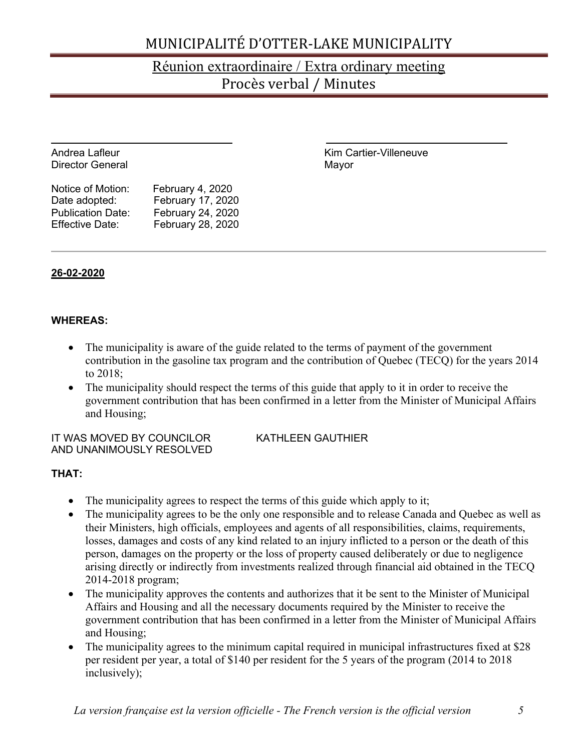## Réunion extraordinaire / Extra ordinary meeting Procès verbal / Minutes

| Andrea Lafleur<br><b>Director General</b>                                                |                                                                                 | Kim Cartier-Villeneuve<br>Mayor |
|------------------------------------------------------------------------------------------|---------------------------------------------------------------------------------|---------------------------------|
| Notice of Motion:<br>Date adopted:<br><b>Publication Date:</b><br><b>Effective Date:</b> | February 4, 2020<br>February 17, 2020<br>February 24, 2020<br>February 28, 2020 |                                 |

### **26-02-2020**

### **WHEREAS:**

- The municipality is aware of the guide related to the terms of payment of the government contribution in the gasoline tax program and the contribution of Quebec (TECQ) for the years 2014 to 2018;
- The municipality should respect the terms of this guide that apply to it in order to receive the government contribution that has been confirmed in a letter from the Minister of Municipal Affairs and Housing;

IT WAS MOVED BY COUNCILOR KATHLEEN GAUTHIER AND UNANIMOUSLY RESOLVED

### **THAT:**

- The municipality agrees to respect the terms of this guide which apply to it;
- The municipality agrees to be the only one responsible and to release Canada and Quebec as well as their Ministers, high officials, employees and agents of all responsibilities, claims, requirements, losses, damages and costs of any kind related to an injury inflicted to a person or the death of this person, damages on the property or the loss of property caused deliberately or due to negligence arising directly or indirectly from investments realized through financial aid obtained in the TECQ 2014-2018 program;
- The municipality approves the contents and authorizes that it be sent to the Minister of Municipal Affairs and Housing and all the necessary documents required by the Minister to receive the government contribution that has been confirmed in a letter from the Minister of Municipal Affairs and Housing;
- The municipality agrees to the minimum capital required in municipal infrastructures fixed at \$28 per resident per year, a total of \$140 per resident for the 5 years of the program (2014 to 2018 inclusively);